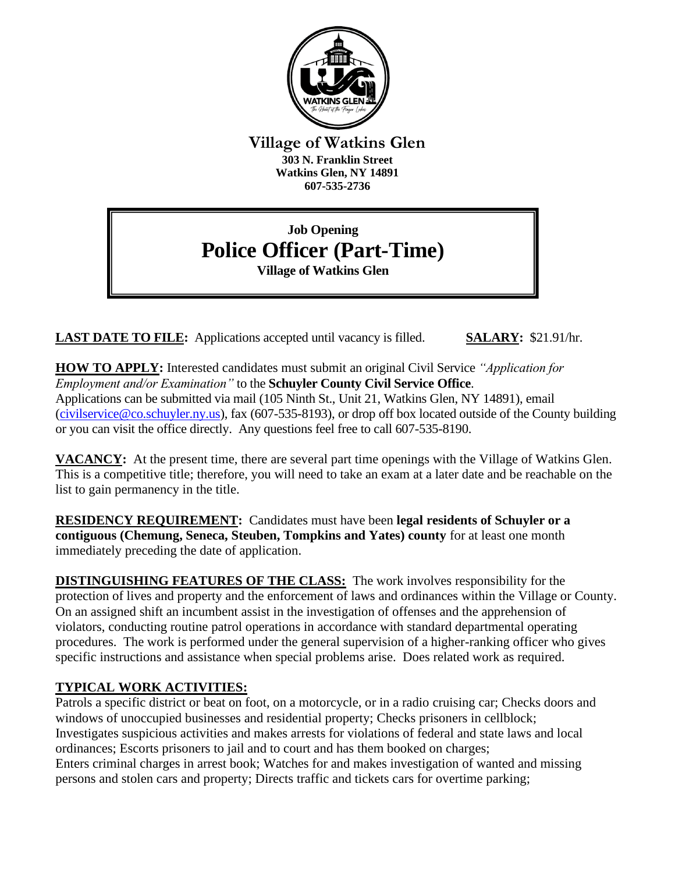

**Village of Watkins Glen 303 N. Franklin Street Watkins Glen, NY 14891 607-535-2736**

# **Job Opening Police Officer (Part-Time) Village of Watkins Glen**

**LAST DATE TO FILE:** Applications accepted until vacancy is filled. **SALARY:** \$21.91/hr.

**HOW TO APPLY:** Interested candidates must submit an original Civil Service *"Application for Employment and/or Examination"* to the **Schuyler County Civil Service Office**. Applications can be submitted via mail (105 Ninth St., Unit 21, Watkins Glen, NY 14891), email [\(civilservice@co.schuyler.ny.us\)](mailto:civilservice@co.schuyler.ny.us), fax (607-535-8193), or drop off box located outside of the County building or you can visit the office directly. Any questions feel free to call 607-535-8190.

**VACANCY:** At the present time, there are several part time openings with the Village of Watkins Glen. This is a competitive title; therefore, you will need to take an exam at a later date and be reachable on the list to gain permanency in the title.

**RESIDENCY REQUIREMENT:** Candidates must have been **legal residents of Schuyler or a contiguous (Chemung, Seneca, Steuben, Tompkins and Yates) county** for at least one month immediately preceding the date of application.

**DISTINGUISHING FEATURES OF THE CLASS:** The work involves responsibility for the protection of lives and property and the enforcement of laws and ordinances within the Village or County. On an assigned shift an incumbent assist in the investigation of offenses and the apprehension of violators, conducting routine patrol operations in accordance with standard departmental operating procedures. The work is performed under the general supervision of a higher-ranking officer who gives specific instructions and assistance when special problems arise. Does related work as required.

## **TYPICAL WORK ACTIVITIES:**

Patrols a specific district or beat on foot, on a motorcycle, or in a radio cruising car; Checks doors and windows of unoccupied businesses and residential property; Checks prisoners in cellblock; Investigates suspicious activities and makes arrests for violations of federal and state laws and local ordinances; Escorts prisoners to jail and to court and has them booked on charges; Enters criminal charges in arrest book; Watches for and makes investigation of wanted and missing persons and stolen cars and property; Directs traffic and tickets cars for overtime parking;